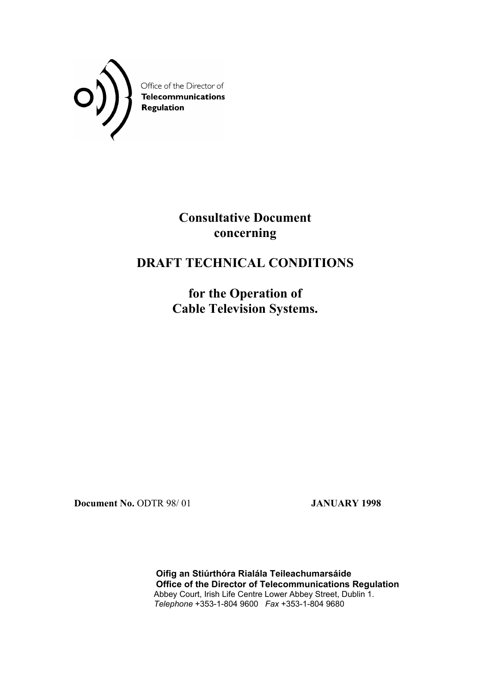

**Consultative Document concerning** 

# **DRAFT TECHNICAL CONDITIONS**

**for the Operation of Cable Television Systems.** 

**Document No.** ODTR 98/ 01 **JANUARY 1998** 

 **Oifig an Stiúrthóra Rialála Teileachumarsáide Office of the Director of Telecommunications Regulation**  Abbey Court, Irish Life Centre Lower Abbey Street, Dublin 1. *Telephone* +353-1-804 9600 *Fax* +353-1-804 9680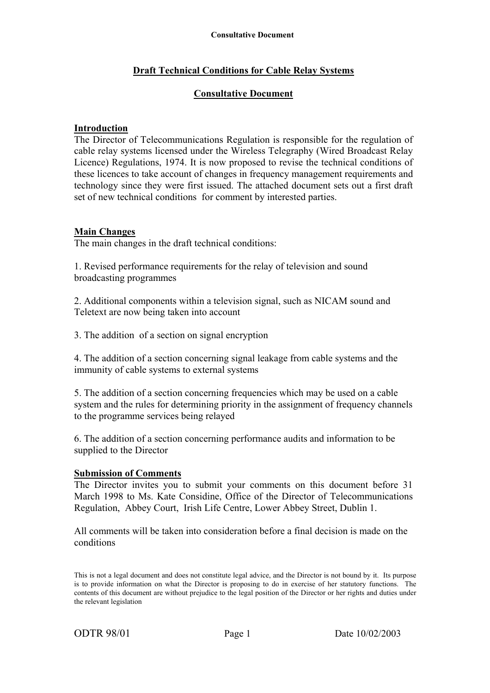# **Draft Technical Conditions for Cable Relay Systems**

#### **Consultative Document**

#### **Introduction**

The Director of Telecommunications Regulation is responsible for the regulation of cable relay systems licensed under the Wireless Telegraphy (Wired Broadcast Relay Licence) Regulations, 1974. It is now proposed to revise the technical conditions of these licences to take account of changes in frequency management requirements and technology since they were first issued. The attached document sets out a first draft set of new technical conditions for comment by interested parties.

#### **Main Changes**

The main changes in the draft technical conditions:

1. Revised performance requirements for the relay of television and sound broadcasting programmes

2. Additional components within a television signal, such as NICAM sound and Teletext are now being taken into account

3. The addition of a section on signal encryption

4. The addition of a section concerning signal leakage from cable systems and the immunity of cable systems to external systems

5. The addition of a section concerning frequencies which may be used on a cable system and the rules for determining priority in the assignment of frequency channels to the programme services being relayed

6. The addition of a section concerning performance audits and information to be supplied to the Director

#### **Submission of Comments**

The Director invites you to submit your comments on this document before 31 March 1998 to Ms. Kate Considine, Office of the Director of Telecommunications Regulation, Abbey Court, Irish Life Centre, Lower Abbey Street, Dublin 1.

All comments will be taken into consideration before a final decision is made on the conditions

This is not a legal document and does not constitute legal advice, and the Director is not bound by it. Its purpose is to provide information on what the Director is proposing to do in exercise of her statutory functions. The contents of this document are without prejudice to the legal position of the Director or her rights and duties under the relevant legislation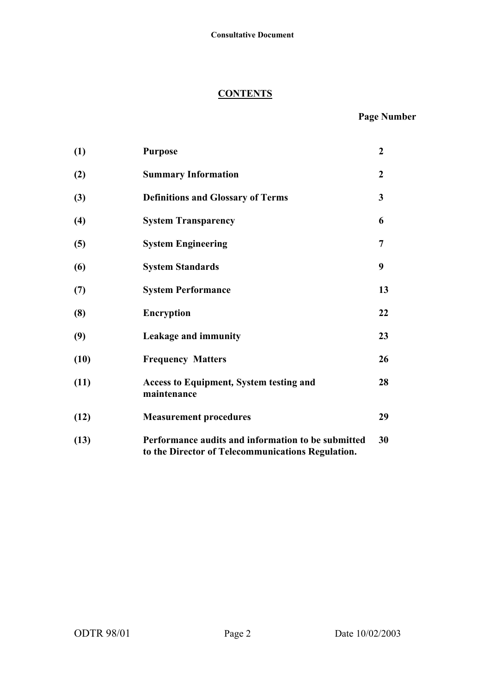#### **CONTENTS**

# **Page Number**

| (1)  | <b>Purpose</b>                                                                                          | $\boldsymbol{2}$ |
|------|---------------------------------------------------------------------------------------------------------|------------------|
| (2)  | <b>Summary Information</b>                                                                              | $\overline{2}$   |
| (3)  | <b>Definitions and Glossary of Terms</b>                                                                | 3                |
| (4)  | <b>System Transparency</b>                                                                              | 6                |
| (5)  | <b>System Engineering</b>                                                                               | 7                |
| (6)  | <b>System Standards</b>                                                                                 | 9                |
| (7)  | <b>System Performance</b>                                                                               | 13               |
| (8)  | <b>Encryption</b>                                                                                       | 22               |
| (9)  | Leakage and immunity                                                                                    | 23               |
| (10) | <b>Frequency Matters</b>                                                                                | 26               |
| (11) | <b>Access to Equipment, System testing and</b><br>maintenance                                           | 28               |
| (12) | <b>Measurement procedures</b>                                                                           | 29               |
| (13) | Performance audits and information to be submitted<br>to the Director of Telecommunications Regulation. | 30               |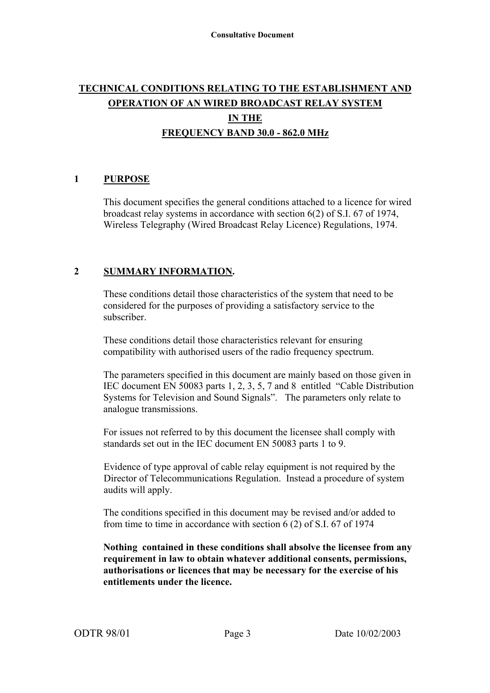# **TECHNICAL CONDITIONS RELATING TO THE ESTABLISHMENT AND OPERATION OF AN WIRED BROADCAST RELAY SYSTEM IN THE FREQUENCY BAND 30.0 - 862.0 MHz**

# **1 PURPOSE**

This document specifies the general conditions attached to a licence for wired broadcast relay systems in accordance with section 6(2) of S.I. 67 of 1974, Wireless Telegraphy (Wired Broadcast Relay Licence) Regulations, 1974.

#### **2 SUMMARY INFORMATION.**

 These conditions detail those characteristics of the system that need to be considered for the purposes of providing a satisfactory service to the subscriber.

 These conditions detail those characteristics relevant for ensuring compatibility with authorised users of the radio frequency spectrum.

 The parameters specified in this document are mainly based on those given in IEC document EN 50083 parts 1, 2, 3, 5, 7 and 8 entitled "Cable Distribution Systems for Television and Sound Signals". The parameters only relate to analogue transmissions.

For issues not referred to by this document the licensee shall comply with standards set out in the IEC document EN 50083 parts 1 to 9.

 Evidence of type approval of cable relay equipment is not required by the Director of Telecommunications Regulation. Instead a procedure of system audits will apply.

 The conditions specified in this document may be revised and/or added to from time to time in accordance with section 6 (2) of S.I. 67 of 1974

**Nothing contained in these conditions shall absolve the licensee from any requirement in law to obtain whatever additional consents, permissions, authorisations or licences that may be necessary for the exercise of his entitlements under the licence.**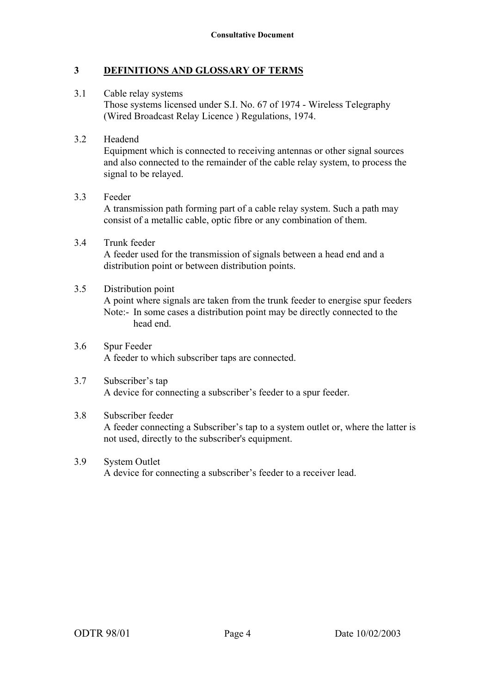# **3 DEFINITIONS AND GLOSSARY OF TERMS**

3.1 Cable relay systems Those systems licensed under S.I. No. 67 of 1974 - Wireless Telegraphy (Wired Broadcast Relay Licence ) Regulations, 1974.

#### 3.2 Headend

Equipment which is connected to receiving antennas or other signal sources and also connected to the remainder of the cable relay system, to process the signal to be relayed.

#### 3.3 Feeder

A transmission path forming part of a cable relay system. Such a path may consist of a metallic cable, optic fibre or any combination of them.

3.4 Trunk feeder A feeder used for the transmission of signals between a head end and a distribution point or between distribution points.

#### 3.5 Distribution point

A point where signals are taken from the trunk feeder to energise spur feeders Note:- In some cases a distribution point may be directly connected to the head end.

3.6 Spur Feeder A feeder to which subscriber taps are connected.

#### 3.7 Subscriber's tap A device for connecting a subscriber's feeder to a spur feeder.

#### 3.8 Subscriber feeder A feeder connecting a Subscriber's tap to a system outlet or, where the latter is not used, directly to the subscriber's equipment.

3.9 System Outlet A device for connecting a subscriber's feeder to a receiver lead.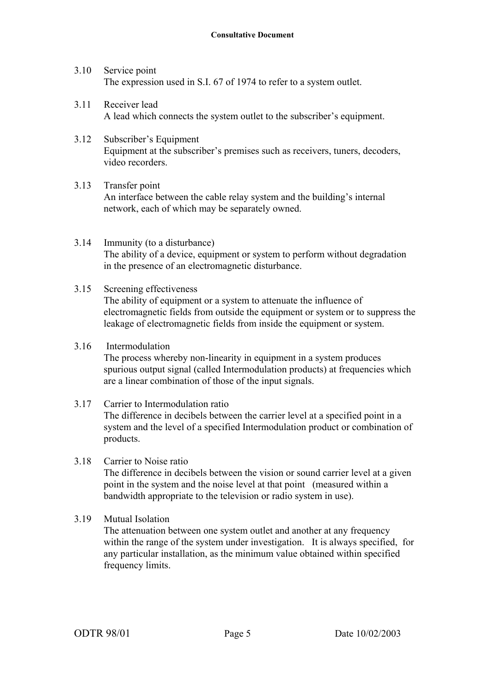- 3.10 Service point The expression used in S.I. 67 of 1974 to refer to a system outlet.
- 3.11 Receiver lead A lead which connects the system outlet to the subscriber's equipment.
- 3.12 Subscriber's Equipment Equipment at the subscriber's premises such as receivers, tuners, decoders, video recorders.
- 3.13 Transfer point An interface between the cable relay system and the building's internal network, each of which may be separately owned.
- 3.14 Immunity (to a disturbance) The ability of a device, equipment or system to perform without degradation in the presence of an electromagnetic disturbance.
- 3.15 Screening effectiveness The ability of equipment or a system to attenuate the influence of electromagnetic fields from outside the equipment or system or to suppress the leakage of electromagnetic fields from inside the equipment or system.
- 3.16 Intermodulation The process whereby non-linearity in equipment in a system produces spurious output signal (called Intermodulation products) at frequencies which are a linear combination of those of the input signals.
- 3.17 Carrier to Intermodulation ratio The difference in decibels between the carrier level at a specified point in a system and the level of a specified Intermodulation product or combination of products.
- 3.18 Carrier to Noise ratio The difference in decibels between the vision or sound carrier level at a given point in the system and the noise level at that point (measured within a bandwidth appropriate to the television or radio system in use).
- 3.19 Mutual Isolation

The attenuation between one system outlet and another at any frequency within the range of the system under investigation. It is always specified, for any particular installation, as the minimum value obtained within specified frequency limits.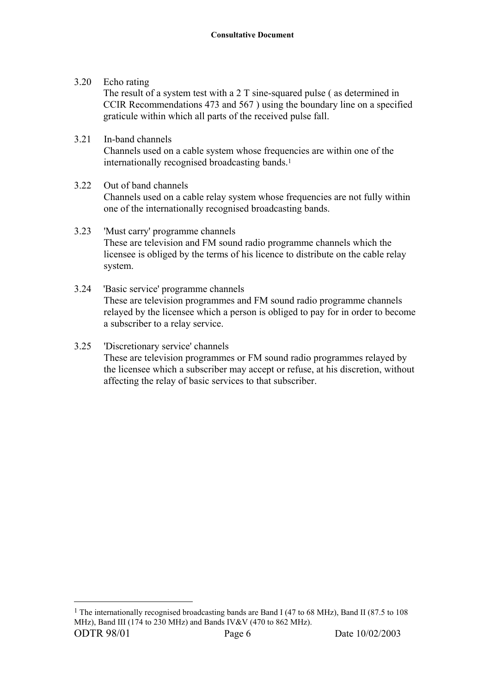3.20 Echo rating

 $\overline{a}$ 

 The result of a system test with a 2 T sine-squared pulse ( as determined in CCIR Recommendations 473 and 567 ) using the boundary line on a specified graticule within which all parts of the received pulse fall.

- 3.21 In-band channels Channels used on a cable system whose frequencies are within one of the internationally recognised broadcasting bands.1
- 3.22 Out of band channels Channels used on a cable relay system whose frequencies are not fully within one of the internationally recognised broadcasting bands.
- 3.23 'Must carry' programme channels These are television and FM sound radio programme channels which the licensee is obliged by the terms of his licence to distribute on the cable relay system.
- 3.24 'Basic service' programme channels These are television programmes and FM sound radio programme channels relayed by the licensee which a person is obliged to pay for in order to become a subscriber to a relay service.
- 3.25 'Discretionary service' channels These are television programmes or FM sound radio programmes relayed by the licensee which a subscriber may accept or refuse, at his discretion, without affecting the relay of basic services to that subscriber.

ODTR 98/01 **Page 6** Date 10/02/2003 <sup>1</sup> The internationally recognised broadcasting bands are Band I (47 to 68 MHz), Band II (87.5 to 108 MHz), Band III (174 to 230 MHz) and Bands IV&V (470 to 862 MHz).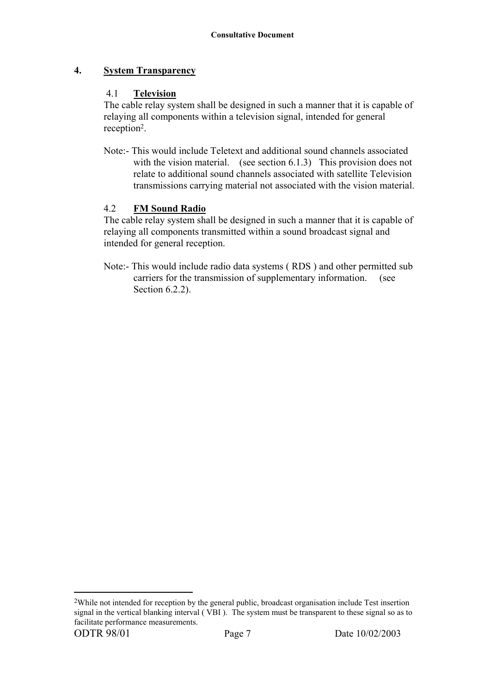# **4. System Transparency**

# 4.1 **Television**

The cable relay system shall be designed in such a manner that it is capable of relaying all components within a television signal, intended for general reception2.

Note:- This would include Teletext and additional sound channels associated with the vision material. (see section 6.1.3) This provision does not relate to additional sound channels associated with satellite Television transmissions carrying material not associated with the vision material.

# 4.2 **FM Sound Radio**

The cable relay system shall be designed in such a manner that it is capable of relaying all components transmitted within a sound broadcast signal and intended for general reception.

Note:- This would include radio data systems ( RDS ) and other permitted sub carriers for the transmission of supplementary information. (see Section 6.2.2).

 $\overline{a}$ 

<sup>2</sup>While not intended for reception by the general public, broadcast organisation include Test insertion signal in the vertical blanking interval ( VBI ). The system must be transparent to these signal so as to facilitate performance measurements.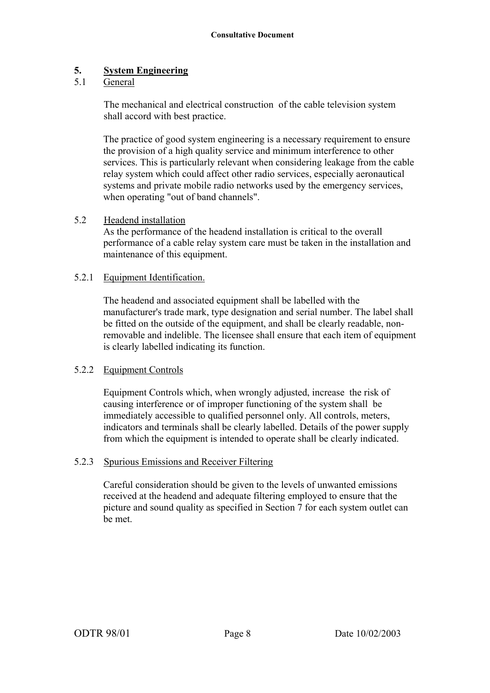# **5. System Engineering**

# 5.1 General

The mechanical and electrical construction of the cable television system shall accord with best practice.

The practice of good system engineering is a necessary requirement to ensure the provision of a high quality service and minimum interference to other services. This is particularly relevant when considering leakage from the cable relay system which could affect other radio services, especially aeronautical systems and private mobile radio networks used by the emergency services, when operating "out of band channels".

#### 5.2 Headend installation

As the performance of the headend installation is critical to the overall performance of a cable relay system care must be taken in the installation and maintenance of this equipment.

#### 5.2.1 Equipment Identification.

The headend and associated equipment shall be labelled with the manufacturer's trade mark, type designation and serial number. The label shall be fitted on the outside of the equipment, and shall be clearly readable, nonremovable and indelible. The licensee shall ensure that each item of equipment is clearly labelled indicating its function.

#### 5.2.2 Equipment Controls

Equipment Controls which, when wrongly adjusted, increase the risk of causing interference or of improper functioning of the system shall be immediately accessible to qualified personnel only. All controls, meters, indicators and terminals shall be clearly labelled. Details of the power supply from which the equipment is intended to operate shall be clearly indicated.

#### 5.2.3 Spurious Emissions and Receiver Filtering

Careful consideration should be given to the levels of unwanted emissions received at the headend and adequate filtering employed to ensure that the picture and sound quality as specified in Section 7 for each system outlet can be met.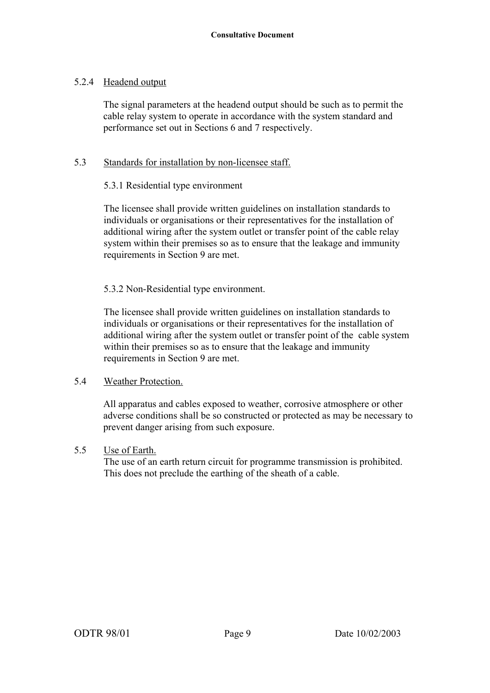# 5.2.4 Headend output

The signal parameters at the headend output should be such as to permit the cable relay system to operate in accordance with the system standard and performance set out in Sections 6 and 7 respectively.

#### 5.3 Standards for installation by non-licensee staff.

# 5.3.1 Residential type environment

The licensee shall provide written guidelines on installation standards to individuals or organisations or their representatives for the installation of additional wiring after the system outlet or transfer point of the cable relay system within their premises so as to ensure that the leakage and immunity requirements in Section 9 are met.

# 5.3.2 Non-Residential type environment.

The licensee shall provide written guidelines on installation standards to individuals or organisations or their representatives for the installation of additional wiring after the system outlet or transfer point of the cable system within their premises so as to ensure that the leakage and immunity requirements in Section 9 are met.

#### 5.4 Weather Protection.

All apparatus and cables exposed to weather, corrosive atmosphere or other adverse conditions shall be so constructed or protected as may be necessary to prevent danger arising from such exposure.

#### 5.5 Use of Earth.

The use of an earth return circuit for programme transmission is prohibited. This does not preclude the earthing of the sheath of a cable.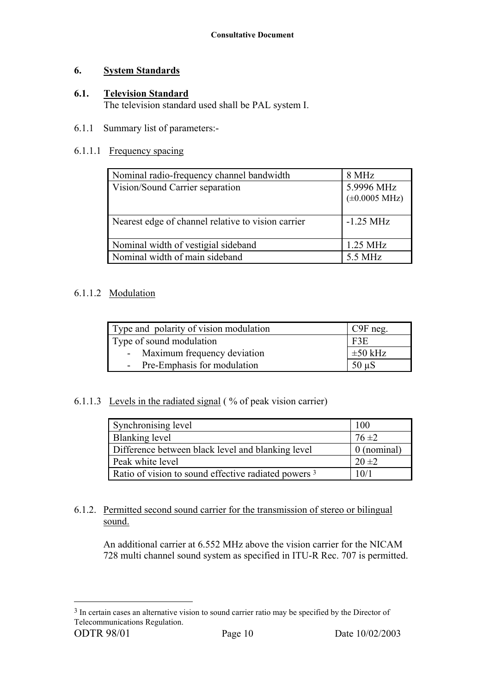# **6. System Standards**

# **6.1. Television Standard**

The television standard used shall be PAL system I.

# 6.1.1 Summary list of parameters:-

# 6.1.1.1 Frequency spacing

| 8 MHz                                    |
|------------------------------------------|
| 5.9996 MHz<br>$(\pm 0.0005 \text{ MHz})$ |
| $-1.25$ MHz                              |
| $1.25$ MHz                               |
| 5.5 MHz                                  |
|                                          |

# 6.1.1.2 Modulation

| Type and polarity of vision modulation | $C9F$ neg.   |
|----------------------------------------|--------------|
| Type of sound modulation               | F3E          |
| - Maximum frequency deviation          | $\pm 50$ kHz |
| - Pre-Emphasis for modulation          | $50 \mu S$   |

# 6.1.1.3 Levels in the radiated signal ( % of peak vision carrier)

| Synchronising level                                  | 100         |
|------------------------------------------------------|-------------|
| Blanking level                                       | $76 \pm 2$  |
| Difference between black level and blanking level    | 0 (nominal) |
| Peak white level                                     | $20 \pm 2$  |
| Ratio of vision to sound effective radiated powers 3 | 10/1        |

# 6.1.2. Permitted second sound carrier for the transmission of stereo or bilingual sound.

An additional carrier at 6.552 MHz above the vision carrier for the NICAM 728 multi channel sound system as specified in ITU-R Rec. 707 is permitted.

 $\overline{a}$ 

<sup>&</sup>lt;sup>3</sup> In certain cases an alternative vision to sound carrier ratio may be specified by the Director of Telecommunications Regulation.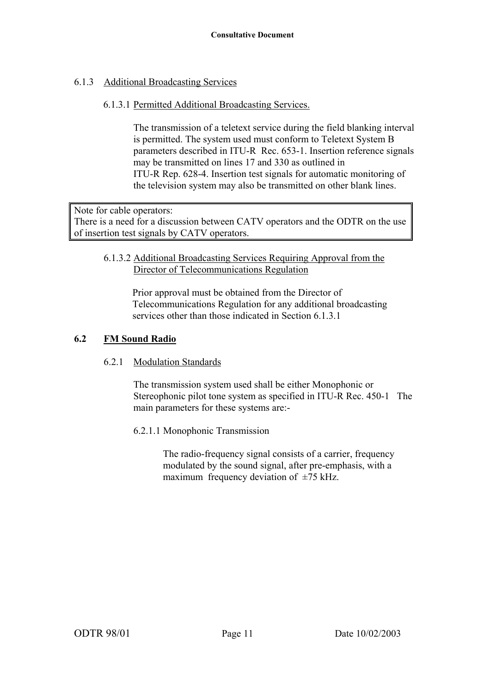# 6.1.3 Additional Broadcasting Services

# 6.1.3.1 Permitted Additional Broadcasting Services.

The transmission of a teletext service during the field blanking interval is permitted. The system used must conform to Teletext System B parameters described in ITU-R Rec. 653-1. Insertion reference signals may be transmitted on lines 17 and 330 as outlined in ITU-R Rep. 628-4. Insertion test signals for automatic monitoring of the television system may also be transmitted on other blank lines.

Note for cable operators: There is a need for a discussion between CATV operators and the ODTR on the use of insertion test signals by CATV operators.

#### 6.1.3.2 Additional Broadcasting Services Requiring Approval from the Director of Telecommunications Regulation

Prior approval must be obtained from the Director of Telecommunications Regulation for any additional broadcasting services other than those indicated in Section 6.1.3.1

# **6.2 FM Sound Radio**

# 6.2.1 Modulation Standards

The transmission system used shall be either Monophonic or Stereophonic pilot tone system as specified in ITU-R Rec. 450-1 The main parameters for these systems are:-

6.2.1.1 Monophonic Transmission

The radio-frequency signal consists of a carrier, frequency modulated by the sound signal, after pre-emphasis, with a maximum frequency deviation of  $\pm$ 75 kHz.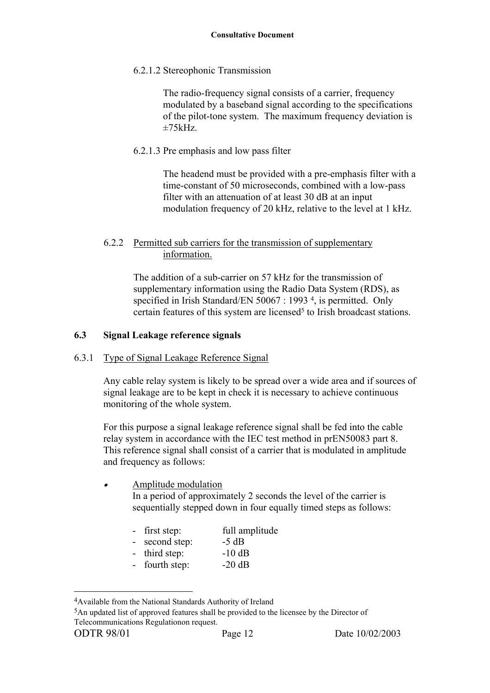6.2.1.2 Stereophonic Transmission

The radio-frequency signal consists of a carrier, frequency modulated by a baseband signal according to the specifications of the pilot-tone system. The maximum frequency deviation is  $+75kHz$ 

6.2.1.3 Pre emphasis and low pass filter

The headend must be provided with a pre-emphasis filter with a time-constant of 50 microseconds, combined with a low-pass filter with an attenuation of at least 30 dB at an input modulation frequency of 20 kHz, relative to the level at 1 kHz.

# 6.2.2 Permitted sub carriers for the transmission of supplementary information.

The addition of a sub-carrier on 57 kHz for the transmission of supplementary information using the Radio Data System (RDS), as specified in Irish Standard/EN 50067 : 1993<sup>4</sup>, is permitted. Only certain features of this system are licensed<sup>5</sup> to Irish broadcast stations.

# **6.3 Signal Leakage reference signals**

# 6.3.1 Type of Signal Leakage Reference Signal

 Any cable relay system is likely to be spread over a wide area and if sources of signal leakage are to be kept in check it is necessary to achieve continuous monitoring of the whole system.

For this purpose a signal leakage reference signal shall be fed into the cable relay system in accordance with the IEC test method in prEN50083 part 8. This reference signal shall consist of a carrier that is modulated in amplitude and frequency as follows:

#### • Amplitude modulation In a period of approximately 2 seconds the level of the carrier is sequentially stepped down in four equally timed steps as follows:

- first step: full amplitude
- second step:  $-5$  dB
- third step: -10 dB
- fourth step:  $-20$  dB

5An updated list of approved features shall be provided to the licensee by the Director of Telecommunications Regulationon request.

 $\overline{a}$ 

<sup>4</sup>Available from the National Standards Authority of Ireland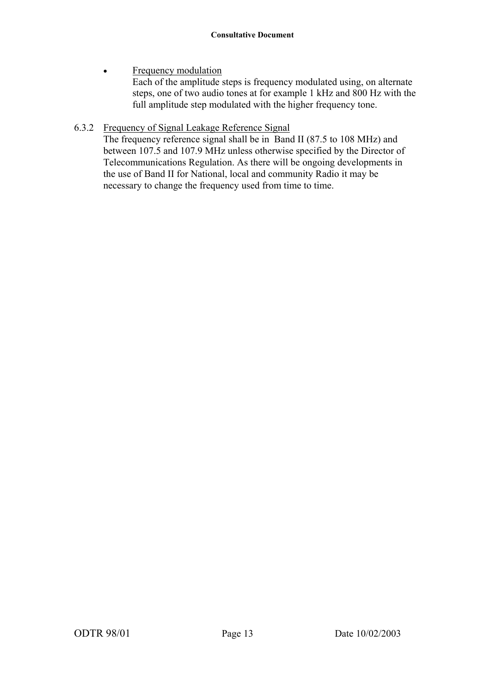• Frequency modulation Each of the amplitude steps is frequency modulated using, on alternate steps, one of two audio tones at for example 1 kHz and 800 Hz with the full amplitude step modulated with the higher frequency tone.

# 6.3.2 Frequency of Signal Leakage Reference Signal

 The frequency reference signal shall be in Band II (87.5 to 108 MHz) and between 107.5 and 107.9 MHz unless otherwise specified by the Director of Telecommunications Regulation. As there will be ongoing developments in the use of Band II for National, local and community Radio it may be necessary to change the frequency used from time to time.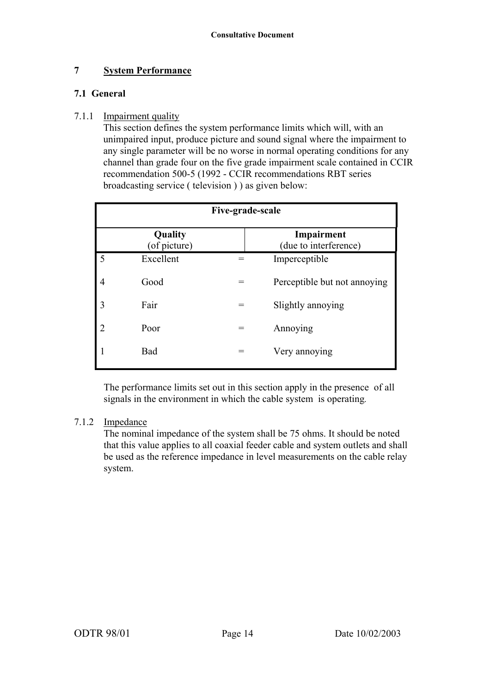# **7 System Performance**

# **7.1 General**

#### 7.1.1 Impairment quality

 This section defines the system performance limits which will, with an unimpaired input, produce picture and sound signal where the impairment to any single parameter will be no worse in normal operating conditions for any channel than grade four on the five grade impairment scale contained in CCIR recommendation 500-5 (1992 - CCIR recommendations RBT series broadcasting service ( television ) ) as given below:

| Five-grade-scale        |           |     |                                     |
|-------------------------|-----------|-----|-------------------------------------|
| Quality<br>(of picture) |           |     | Impairment<br>(due to interference) |
| 5                       | Excellent |     | Imperceptible                       |
| 4                       | Good      | $=$ | Perceptible but not annoying        |
| 3                       | Fair      |     | Slightly annoying                   |
| 2                       | Poor      |     | Annoying                            |
|                         | Bad       |     | Very annoying                       |

The performance limits set out in this section apply in the presence of all signals in the environment in which the cable system is operating*.*

#### 7.1.2 Impedance

The nominal impedance of the system shall be 75 ohms. It should be noted that this value applies to all coaxial feeder cable and system outlets and shall be used as the reference impedance in level measurements on the cable relay system.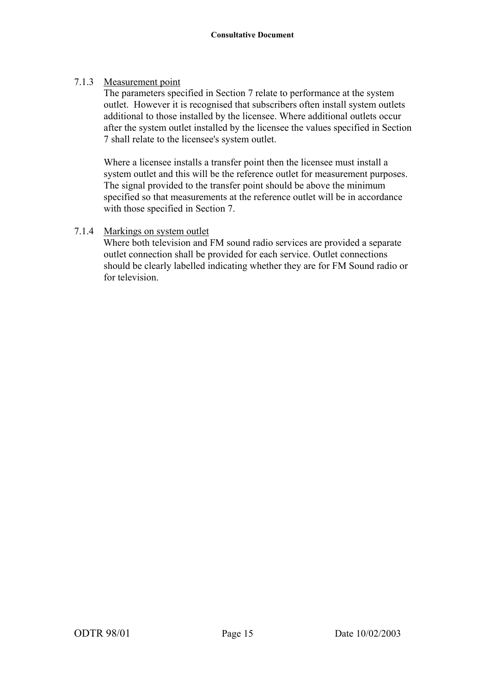# 7.1.3 Measurement point

The parameters specified in Section 7 relate to performance at the system outlet. However it is recognised that subscribers often install system outlets additional to those installed by the licensee. Where additional outlets occur after the system outlet installed by the licensee the values specified in Section 7 shall relate to the licensee's system outlet.

Where a licensee installs a transfer point then the licensee must install a system outlet and this will be the reference outlet for measurement purposes. The signal provided to the transfer point should be above the minimum specified so that measurements at the reference outlet will be in accordance with those specified in Section 7.

# 7.1.4 Markings on system outlet

Where both television and FM sound radio services are provided a separate outlet connection shall be provided for each service. Outlet connections should be clearly labelled indicating whether they are for FM Sound radio or for television.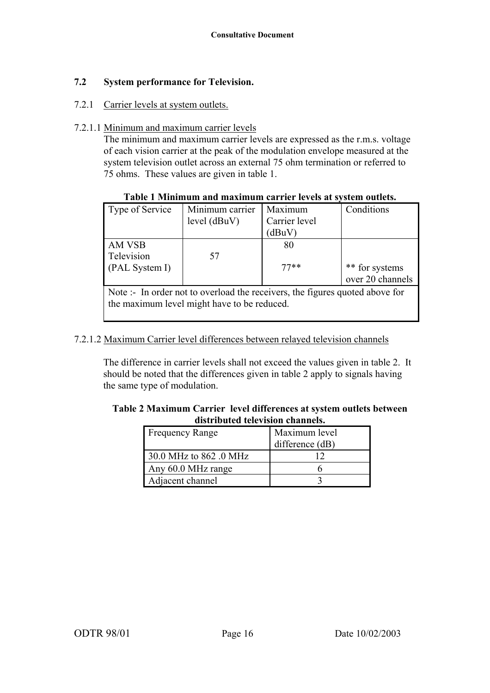# **7.2 System performance for Television.**

#### 7.2.1 Carrier levels at system outlets.

#### 7.2.1.1 Minimum and maximum carrier levels

The minimum and maximum carrier levels are expressed as the r.m.s. voltage of each vision carrier at the peak of the modulation envelope measured at the system television outlet across an external 75 ohm termination or referred to 75 ohms. These values are given in table 1.

#### **Table 1 Minimum and maximum carrier levels at system outlets.**

| Type of Service              | Minimum carrier      | Maximum       | Conditions                  |
|------------------------------|----------------------|---------------|-----------------------------|
|                              | level (dBuV)         | Carrier level |                             |
|                              |                      | dBuV          |                             |
| AM VSB                       |                      | 80            |                             |
| Television                   | 57                   |               |                             |
| (PAL System I)               |                      | $77**$        | ** for systems              |
|                              |                      |               | over 20 channels            |
| $\mathbf{X}$<br>$\mathbf{r}$ | 1.1<br>$\sim$ $\sim$ | $\sim$ $\sim$ | $\sim$ $\sim$ $\sim$ $\sim$ |

Note :- In order not to overload the receivers, the figures quoted above for the maximum level might have to be reduced.

#### 7.2.1.2 Maximum Carrier level differences between relayed television channels

 The difference in carrier levels shall not exceed the values given in table 2. It should be noted that the differences given in table 2 apply to signals having the same type of modulation.

#### **Table 2 Maximum Carrier level differences at system outlets between distributed television channels.**

| <b>Frequency Range</b> | Maximum level<br>difference (dB) |
|------------------------|----------------------------------|
| 30.0 MHz to 862 .0 MHz |                                  |
| Any 60.0 MHz range     |                                  |
| Adjacent channel       |                                  |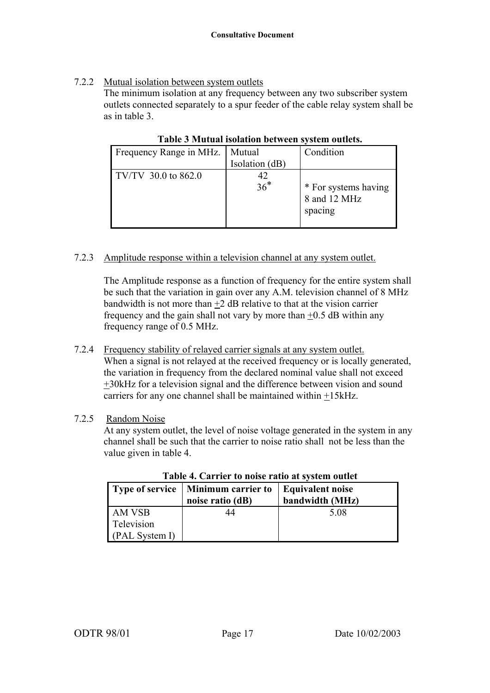# 7.2.2 Mutual isolation between system outlets

The minimum isolation at any frequency between any two subscriber system outlets connected separately to a spur feeder of the cable relay system shall be as in table 3.

| Frequency Range in MHz. | Mutual<br>Isolation (dB) | Condition                                       |
|-------------------------|--------------------------|-------------------------------------------------|
| TV/TV 30.0 to 862.0     | 42<br>$36*$              | * For systems having<br>8 and 12 MHz<br>spacing |

**Table 3 Mutual isolation between system outlets.** 

# 7.2.3 Amplitude response within a television channel at any system outlet.

The Amplitude response as a function of frequency for the entire system shall be such that the variation in gain over any A.M. television channel of 8 MHz bandwidth is not more than  $+2$  dB relative to that at the vision carrier frequency and the gain shall not vary by more than  $\pm 0.5$  dB within any frequency range of 0.5 MHz.

7.2.4 Frequency stability of relayed carrier signals at any system outlet. When a signal is not relayed at the received frequency or is locally generated, the variation in frequency from the declared nominal value shall not exceed +30kHz for a television signal and the difference between vision and sound carriers for any one channel shall be maintained within +15kHz.

# 7.2.5 Random Noise

At any system outlet, the level of noise voltage generated in the system in any channel shall be such that the carrier to noise ratio shall not be less than the value given in table 4.

|                | Type of service   Minimum carrier to<br>noise ratio (dB) | <b>Equivalent noise</b><br>bandwidth (MHz) |
|----------------|----------------------------------------------------------|--------------------------------------------|
| AM VSB         |                                                          | 5.08                                       |
| Television     |                                                          |                                            |
| (PAL System I) |                                                          |                                            |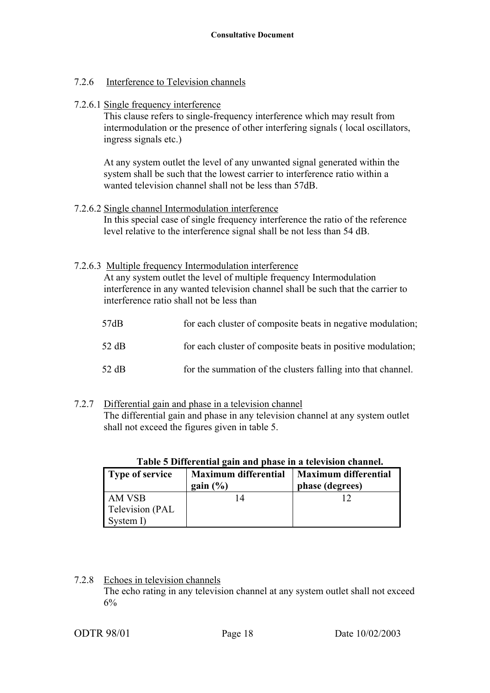# 7.2.6 Interference to Television channels

7.2.6.1 Single frequency interference

 This clause refers to single-frequency interference which may result from intermodulation or the presence of other interfering signals ( local oscillators, ingress signals etc.)

At any system outlet the level of any unwanted signal generated within the system shall be such that the lowest carrier to interference ratio within a wanted television channel shall not be less than 57dB.

7.2.6.2 Single channel Intermodulation interference In this special case of single frequency interference the ratio of the reference level relative to the interference signal shall be not less than 54 dB.

# 7.2.6.3 Multiple frequency Intermodulation interference

At any system outlet the level of multiple frequency Intermodulation interference in any wanted television channel shall be such that the carrier to interference ratio shall not be less than

| 57dB  | for each cluster of composite beats in negative modulation;  |
|-------|--------------------------------------------------------------|
| 52 dB | for each cluster of composite beats in positive modulation;  |
| 52 dB | for the summation of the clusters falling into that channel. |

7.2.7 Differential gain and phase in a television channel The differential gain and phase in any television channel at any system outlet shall not exceed the figures given in table 5.

| Type of service | <b>Maximum differential</b><br>gain $(\% )$ | <b>Maximum differential</b><br>phase (degrees) |
|-----------------|---------------------------------------------|------------------------------------------------|
| AM VSB          |                                             |                                                |
| Television (PAL |                                             |                                                |
| System I)       |                                             |                                                |

# **Table 5 Differential gain and phase in a television channel.**

7.2.8 Echoes in television channels The echo rating in any television channel at any system outlet shall not exceed 6%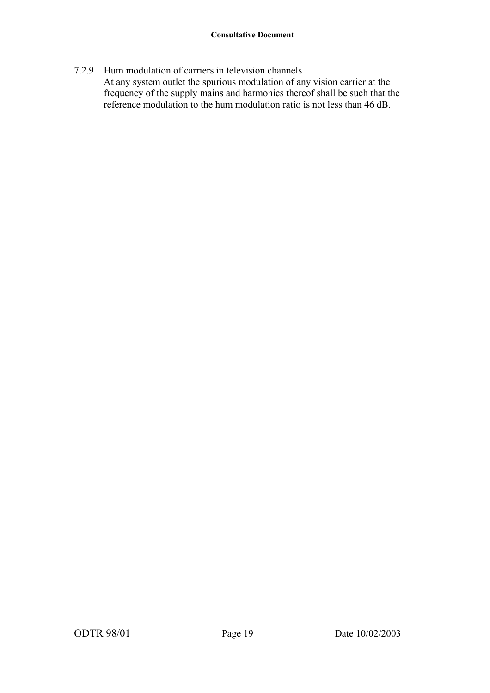7.2.9 Hum modulation of carriers in television channels At any system outlet the spurious modulation of any vision carrier at the frequency of the supply mains and harmonics thereof shall be such that the reference modulation to the hum modulation ratio is not less than 46 dB.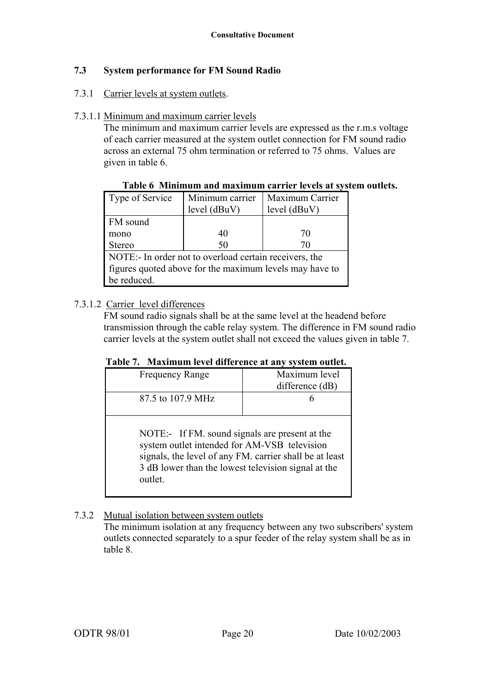# **7.3 System performance for FM Sound Radio**

#### 7.3.1 Carrier levels at system outlets.

#### 7.3.1.1 Minimum and maximum carrier levels

The minimum and maximum carrier levels are expressed as the r.m.s voltage of each carrier measured at the system outlet connection for FM sound radio across an external 75 ohm termination or referred to 75 ohms. Values are given in table 6.

| Type of Service                                         | Minimum carrier | Maximum Carrier |
|---------------------------------------------------------|-----------------|-----------------|
|                                                         | level (dBuV)    | level (dBuV)    |
| FM sound                                                |                 |                 |
| mono                                                    | 40              | 70              |
| <b>Stereo</b>                                           | 50              | 70              |
| NOTE:- In order not to overload certain receivers, the  |                 |                 |
| figures quoted above for the maximum levels may have to |                 |                 |
| be reduced.                                             |                 |                 |

#### **Table 6 Minimum and maximum carrier levels at system outlets.**

# 7.3.1.2 Carrier level differences

FM sound radio signals shall be at the same level at the headend before transmission through the cable relay system. The difference in FM sound radio carrier levels at the system outlet shall not exceed the values given in table 7.

| <b>Frequency Range</b> | Maximum level<br>difference $(dB)$ |
|------------------------|------------------------------------|
| 87.5 to 107.9 MHz      |                                    |
|                        |                                    |

NOTE:- If FM. sound signals are present at the system outlet intended for AM-VSB television signals, the level of any FM. carrier shall be at least 3 dB lower than the lowest television signal at the outlet.

#### 7.3.2 Mutual isolation between system outlets

The minimum isolation at any frequency between any two subscribers' system outlets connected separately to a spur feeder of the relay system shall be as in table 8.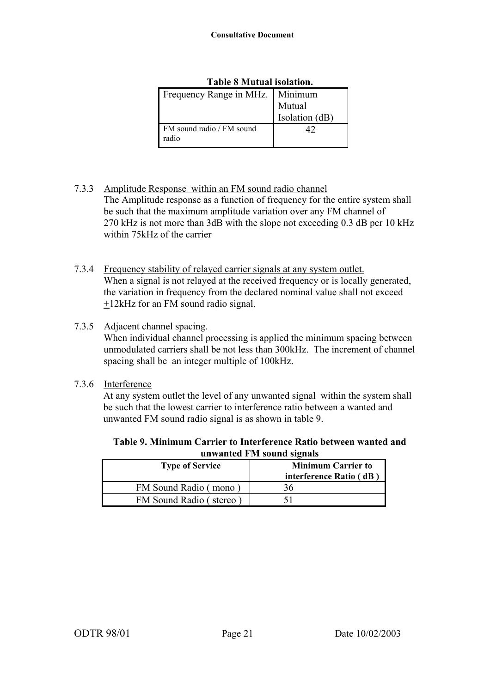| Frequency Range in MHz.   Minimum  |                |
|------------------------------------|----------------|
|                                    | Mutual         |
|                                    | Isolation (dB) |
| FM sound radio / FM sound<br>radio |                |

#### **Table 8 Mutual isolation.**

- 7.3.3 Amplitude Response within an FM sound radio channel The Amplitude response as a function of frequency for the entire system shall be such that the maximum amplitude variation over any FM channel of 270 kHz is not more than 3dB with the slope not exceeding 0.3 dB per 10 kHz within 75kHz of the carrier
- 7.3.4 Frequency stability of relayed carrier signals at any system outlet. When a signal is not relayed at the received frequency or is locally generated, the variation in frequency from the declared nominal value shall not exceed +12kHz for an FM sound radio signal.
- 7.3.5 Adjacent channel spacing.

When individual channel processing is applied the minimum spacing between unmodulated carriers shall be not less than 300kHz. The increment of channel spacing shall be an integer multiple of 100kHz.

7.3.6 Interference

At any system outlet the level of any unwanted signal within the system shall be such that the lowest carrier to interference ratio between a wanted and unwanted FM sound radio signal is as shown in table 9.

**Table 9. Minimum Carrier to Interference Ratio between wanted and unwanted FM sound signals** 

| <b>Type of Service</b> | <b>Minimum Carrier to</b> |
|------------------------|---------------------------|
|                        | interference Ratio (dB)   |
| FM Sound Radio (mono   | 36                        |
| FM Sound Radio (stereo |                           |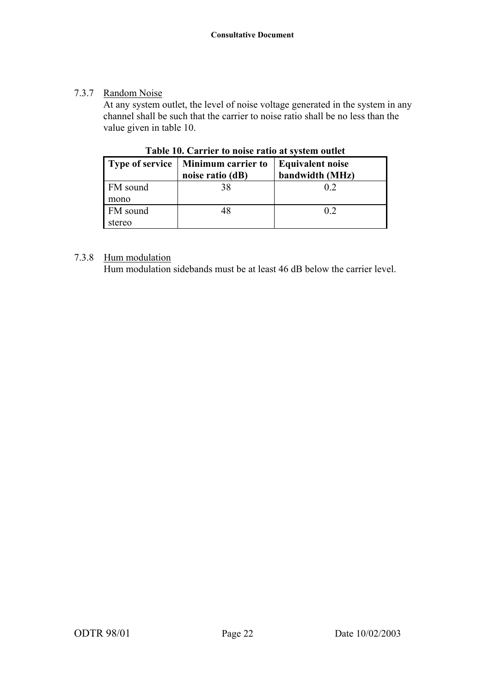# 7.3.7 Random Noise

 At any system outlet, the level of noise voltage generated in the system in any channel shall be such that the carrier to noise ratio shall be no less than the value given in table 10.

|          | Type of service   Minimum carrier to<br>noise ratio (dB) | <b>Equivalent noise</b><br>bandwidth (MHz) |
|----------|----------------------------------------------------------|--------------------------------------------|
| FM sound | 38                                                       | 02                                         |
| mono     |                                                          |                                            |
| FM sound | 48                                                       | 02                                         |
| stereo   |                                                          |                                            |

**Table 10. Carrier to noise ratio at system outlet**

# 7.3.8 Hum modulation

Hum modulation sidebands must be at least 46 dB below the carrier level.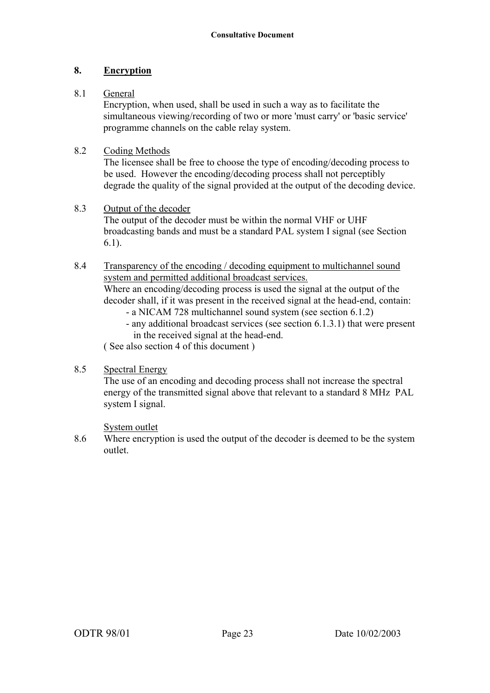# **8. Encryption**

# 8.1 General

 Encryption, when used, shall be used in such a way as to facilitate the simultaneous viewing/recording of two or more 'must carry' or 'basic service' programme channels on the cable relay system.

# 8.2 Coding Methods

The licensee shall be free to choose the type of encoding/decoding process to be used. However the encoding/decoding process shall not perceptibly degrade the quality of the signal provided at the output of the decoding device.

#### 8.3 Output of the decoder

The output of the decoder must be within the normal VHF or UHF broadcasting bands and must be a standard PAL system I signal (see Section 6.1).

#### 8.4 Transparency of the encoding / decoding equipment to multichannel sound system and permitted additional broadcast services.

Where an encoding/decoding process is used the signal at the output of the decoder shall, if it was present in the received signal at the head-end, contain:

- a NICAM 728 multichannel sound system (see section 6.1.2)
- any additional broadcast services (see section 6.1.3.1) that were present in the received signal at the head-end.

( See also section 4 of this document )

# 8.5 Spectral Energy

The use of an encoding and decoding process shall not increase the spectral energy of the transmitted signal above that relevant to a standard 8 MHz PAL system I signal.

#### System outlet

8.6 Where encryption is used the output of the decoder is deemed to be the system outlet.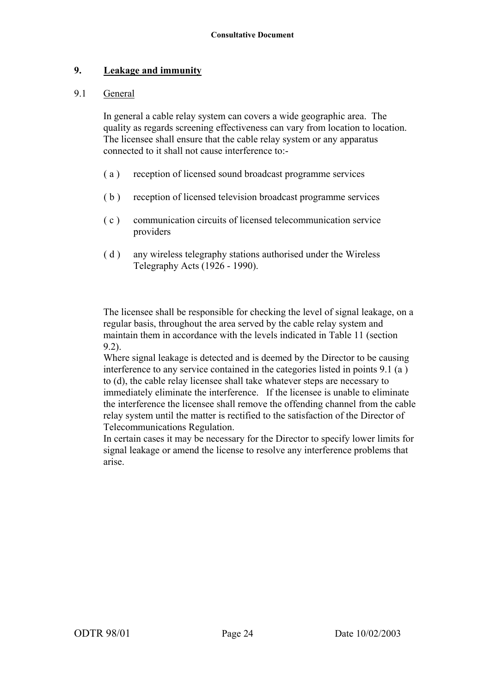#### **9. Leakage and immunity**

#### 9.1 General

 In general a cable relay system can covers a wide geographic area. The quality as regards screening effectiveness can vary from location to location. The licensee shall ensure that the cable relay system or any apparatus connected to it shall not cause interference to:-

- ( a ) reception of licensed sound broadcast programme services
- ( b ) reception of licensed television broadcast programme services
- ( c ) communication circuits of licensed telecommunication service providers
- ( d ) any wireless telegraphy stations authorised under the Wireless Telegraphy Acts (1926 - 1990).

 The licensee shall be responsible for checking the level of signal leakage, on a regular basis, throughout the area served by the cable relay system and maintain them in accordance with the levels indicated in Table 11 (section 9.2).

 Where signal leakage is detected and is deemed by the Director to be causing interference to any service contained in the categories listed in points 9.1 (a ) to (d), the cable relay licensee shall take whatever steps are necessary to immediately eliminate the interference. If the licensee is unable to eliminate the interference the licensee shall remove the offending channel from the cable relay system until the matter is rectified to the satisfaction of the Director of Telecommunications Regulation.

 In certain cases it may be necessary for the Director to specify lower limits for signal leakage or amend the license to resolve any interference problems that arise.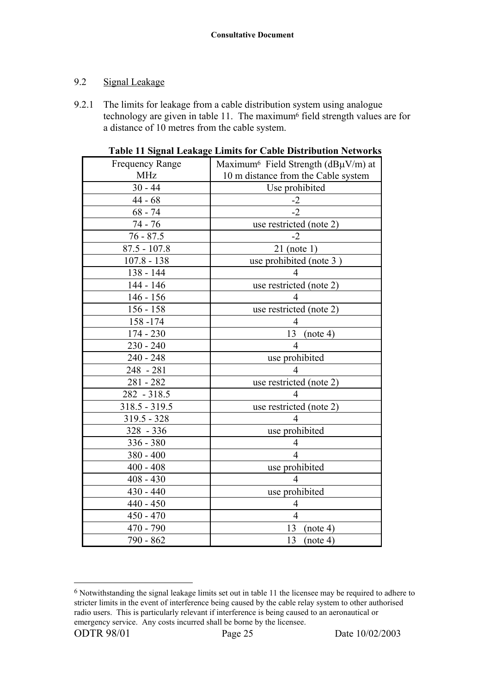# 9.2 Signal Leakage

9.2.1 The limits for leakage from a cable distribution system using analogue technology are given in table 11. The maximum<sup>6</sup> field strength values are for a distance of 10 metres from the cable system.

| <b>Frequency Range</b> | Maximum <sup>6</sup> Field Strength ( $d$ B $\mu$ V/m) at |
|------------------------|-----------------------------------------------------------|
| <b>MHz</b>             | 10 m distance from the Cable system                       |
| $30 - 44$              | Use prohibited                                            |
| $44 - 68$              | $-2$                                                      |
| $68 - 74$              | $-2$                                                      |
| 74 - 76                | use restricted (note 2)                                   |
| $76 - 87.5$            | $-2$                                                      |
| $87.5 - 107.8$         | $21$ (note 1)                                             |
| $107.8 - 138$          | use prohibited (note 3)                                   |
| 138 - 144              | 4                                                         |
| 144 - 146              | use restricted (note 2)                                   |
| $146 - 156$            | 4                                                         |
| $156 - 158$            | use restricted (note 2)                                   |
| 158-174                | $\overline{4}$                                            |
| 174 - 230              | 13<br>(note 4)                                            |
| $230 - 240$            | 4                                                         |
| $240 - 248$            | use prohibited                                            |
| 248 - 281              | $\overline{4}$                                            |
| $281 - 282$            | use restricted (note 2)                                   |
| $282 - 318.5$          | $\overline{4}$                                            |
| $318.5 - 319.5$        | use restricted (note 2)                                   |
| $319.5 - 328$          | 4                                                         |
| 328 - 336              | use prohibited                                            |
| 336 - 380              | 4                                                         |
| $380 - 400$            | 4                                                         |
| $400 - 408$            | use prohibited                                            |
| $408 - 430$            | $\overline{4}$                                            |
| $430 - 440$            | use prohibited                                            |
| $440 - 450$            | $\overline{4}$                                            |
| $450 - 470$            | $\overline{4}$                                            |
| 470 - 790              | 13<br>(note 4)                                            |
| 790 - 862              | 13<br>(note 4)                                            |

| <b>Table 11 Signal Leakage Limits for Cable Distribution Networks</b> |
|-----------------------------------------------------------------------|
|-----------------------------------------------------------------------|

 $\overline{a}$ 

<sup>6</sup> Notwithstanding the signal leakage limits set out in table 11 the licensee may be required to adhere to stricter limits in the event of interference being caused by the cable relay system to other authorised radio users. This is particularly relevant if interference is being caused to an aeronautical or emergency service. Any costs incurred shall be borne by the licensee.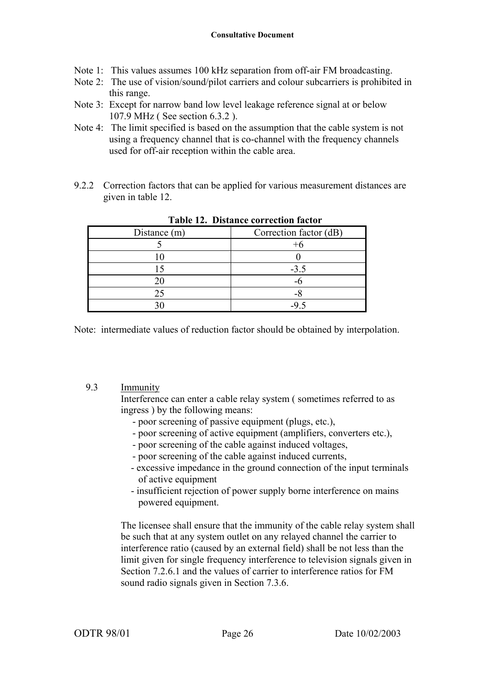- Note 1: This values assumes 100 kHz separation from off-air FM broadcasting.
- Note 2: The use of vision/sound/pilot carriers and colour subcarriers is prohibited in this range.
- Note 3: Except for narrow band low level leakage reference signal at or below 107.9 MHz ( See section 6.3.2 ).
- Note 4: The limit specified is based on the assumption that the cable system is not using a frequency channel that is co-channel with the frequency channels used for off-air reception within the cable area.
- 9.2.2 Correction factors that can be applied for various measurement distances are given in table 12.

| Distance (m) | Correction factor (dB) |
|--------------|------------------------|
|              |                        |
|              |                        |
|              | $-3.5$                 |
|              |                        |
|              |                        |
|              |                        |

**Table 12. Distance correction factor**

Note: intermediate values of reduction factor should be obtained by interpolation.

#### 9.3 Immunity

Interference can enter a cable relay system ( sometimes referred to as ingress ) by the following means:

- poor screening of passive equipment (plugs, etc.),
- poor screening of active equipment (amplifiers, converters etc.),
- poor screening of the cable against induced voltages,
- poor screening of the cable against induced currents,
- excessive impedance in the ground connection of the input terminals of active equipment
- insufficient rejection of power supply borne interference on mains powered equipment.

The licensee shall ensure that the immunity of the cable relay system shall be such that at any system outlet on any relayed channel the carrier to interference ratio (caused by an external field) shall be not less than the limit given for single frequency interference to television signals given in Section 7.2.6.1 and the values of carrier to interference ratios for FM sound radio signals given in Section 7.3.6.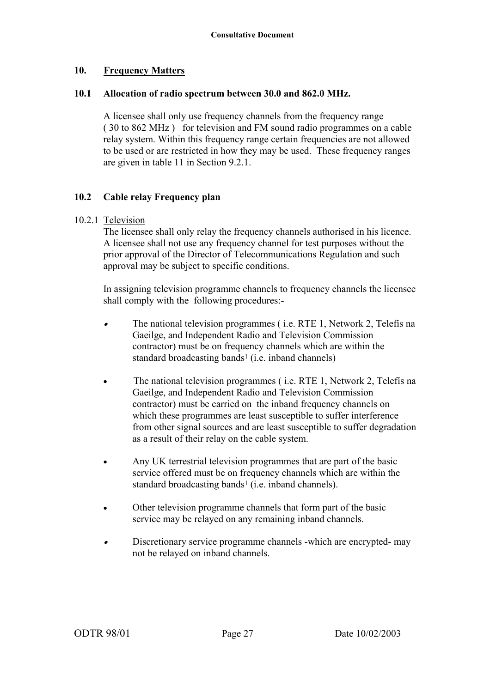#### **10. Frequency Matters**

#### **10.1 Allocation of radio spectrum between 30.0 and 862.0 MHz.**

A licensee shall only use frequency channels from the frequency range ( 30 to 862 MHz ) for television and FM sound radio programmes on a cable relay system. Within this frequency range certain frequencies are not allowed to be used or are restricted in how they may be used. These frequency ranges are given in table 11 in Section 9.2.1.

#### **10.2 Cable relay Frequency plan**

#### 10.2.1 Television

 The licensee shall only relay the frequency channels authorised in his licence. A licensee shall not use any frequency channel for test purposes without the prior approval of the Director of Telecommunications Regulation and such approval may be subject to specific conditions.

 In assigning television programme channels to frequency channels the licensee shall comply with the following procedures:-

- • The national television programmes ( i.e. RTE 1, Network 2, Telefís na Gaeilge, and Independent Radio and Television Commission contractor) must be on frequency channels which are within the standard broadcasting bands<sup>1</sup> (i.e. inband channels)
- The national television programmes (i.e. RTE 1, Network 2, Telefis na Gaeilge, and Independent Radio and Television Commission contractor) must be carried on the inband frequency channels on which these programmes are least susceptible to suffer interference from other signal sources and are least susceptible to suffer degradation as a result of their relay on the cable system.
- Any UK terrestrial television programmes that are part of the basic service offered must be on frequency channels which are within the standard broadcasting bands<sup>1</sup> (i.e. inband channels).
- Other television programme channels that form part of the basic service may be relayed on any remaining inband channels.
- • Discretionary service programme channels -which are encrypted- may not be relayed on inband channels.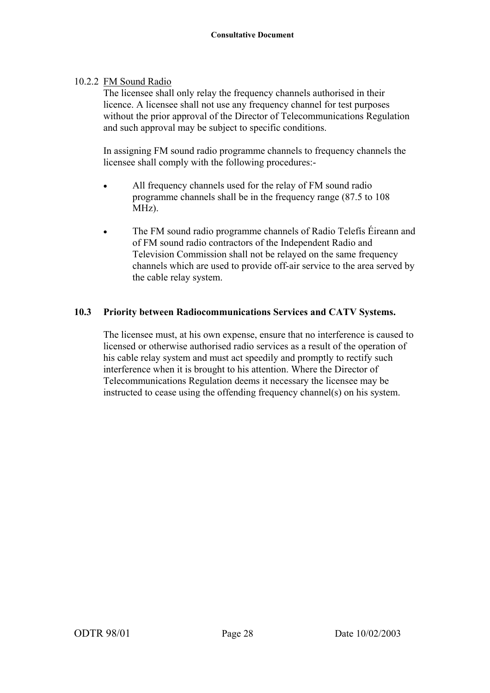# 10.2.2 FM Sound Radio

 The licensee shall only relay the frequency channels authorised in their licence. A licensee shall not use any frequency channel for test purposes without the prior approval of the Director of Telecommunications Regulation and such approval may be subject to specific conditions.

 In assigning FM sound radio programme channels to frequency channels the licensee shall comply with the following procedures:-

- All frequency channels used for the relay of FM sound radio programme channels shall be in the frequency range (87.5 to 108 MHz).
- The FM sound radio programme channels of Radio Telefís Éireann and of FM sound radio contractors of the Independent Radio and Television Commission shall not be relayed on the same frequency channels which are used to provide off-air service to the area served by the cable relay system.

# **10.3 Priority between Radiocommunications Services and CATV Systems.**

The licensee must, at his own expense, ensure that no interference is caused to licensed or otherwise authorised radio services as a result of the operation of his cable relay system and must act speedily and promptly to rectify such interference when it is brought to his attention. Where the Director of Telecommunications Regulation deems it necessary the licensee may be instructed to cease using the offending frequency channel(s) on his system.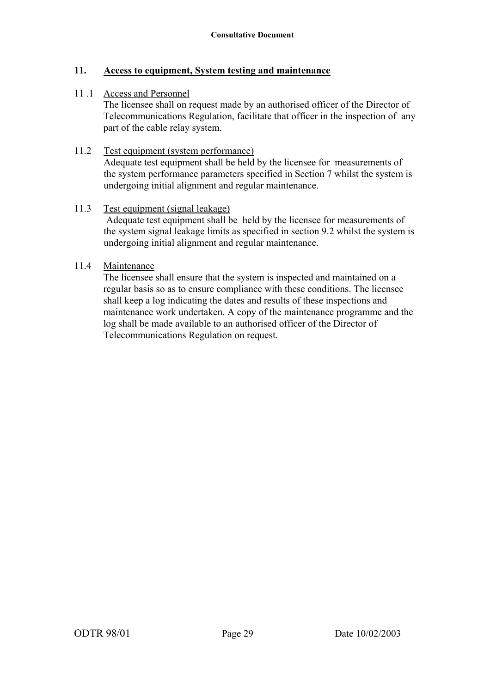#### **11. Access to equipment, System testing and maintenance**

#### 11 .1 Access and Personnel

The licensee shall on request made by an authorised officer of the Director of Telecommunications Regulation, facilitate that officer in the inspection of any part of the cable relay system.

#### 11.2 Test equipment (system performance)

Adequate test equipment shall be held by the licensee for measurements of the system performance parameters specified in Section 7 whilst the system is undergoing initial alignment and regular maintenance.

#### 11.3 Test equipment (signal leakage)

 Adequate test equipment shall be held by the licensee for measurements of the system signal leakage limits as specified in section 9.2 whilst the system is undergoing initial alignment and regular maintenance.

#### 11.4 Maintenance

The licensee shall ensure that the system is inspected and maintained on a regular basis so as to ensure compliance with these conditions. The licensee shall keep a log indicating the dates and results of these inspections and maintenance work undertaken. A copy of the maintenance programme and the log shall be made available to an authorised officer of the Director of Telecommunications Regulation on request.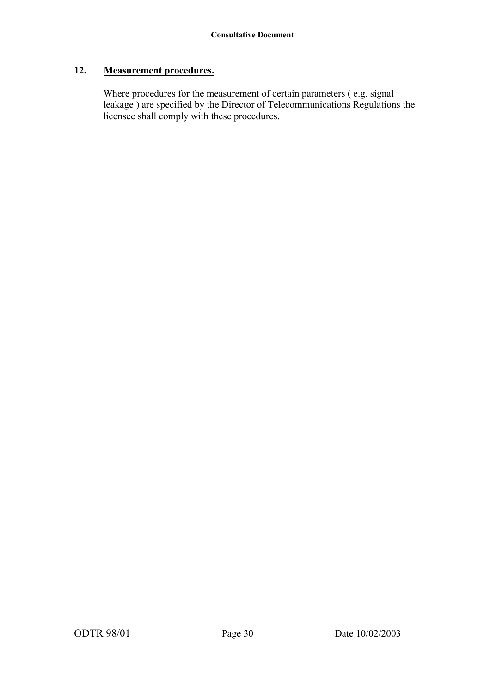# **12. Measurement procedures.**

Where procedures for the measurement of certain parameters ( e.g. signal leakage ) are specified by the Director of Telecommunications Regulations the licensee shall comply with these procedures.